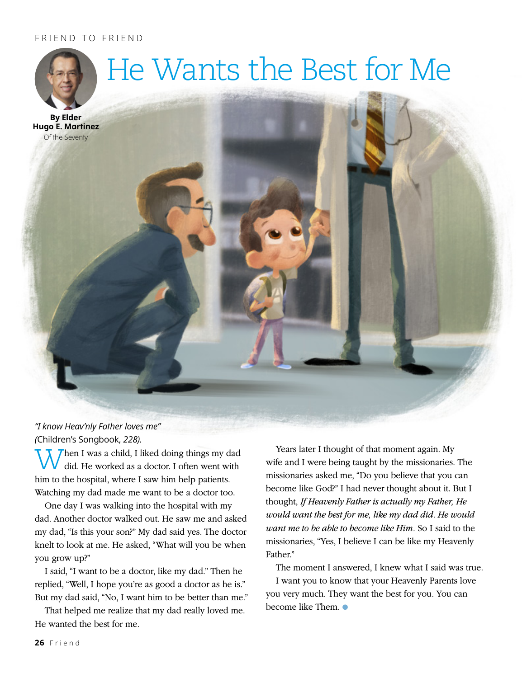## FRIEND TO FRIEND



*"I know Heav'nly Father loves me" (*Children's Songbook, *228).*

Then I was a child, I liked doing things my dad did. He worked as a doctor. I often went with him to the hospital, where I saw him help patients. Watching my dad made me want to be a doctor too.

One day I was walking into the hospital with my dad. Another doctor walked out. He saw me and asked my dad, "Is this your son?" My dad said yes. The doctor knelt to look at me. He asked, "What will you be when you grow up?"

I said, "I want to be a doctor, like my dad." Then he replied, "Well, I hope you're as good a doctor as he is." But my dad said, "No, I want him to be better than me."

That helped me realize that my dad really loved me. He wanted the best for me.

Years later I thought of that moment again. My wife and I were being taught by the missionaries. The missionaries asked me, "Do you believe that you can become like God?" I had never thought about it. But I thought, *If Heavenly Father is actually my Father, He would want the best for me, like my dad did. He would want me to be able to become like Him.* So I said to the missionaries, "Yes, I believe I can be like my Heavenly Father"

The moment I answered, I knew what I said was true. I want you to know that your Heavenly Parents love you very much. They want the best for you. You can become like Them.